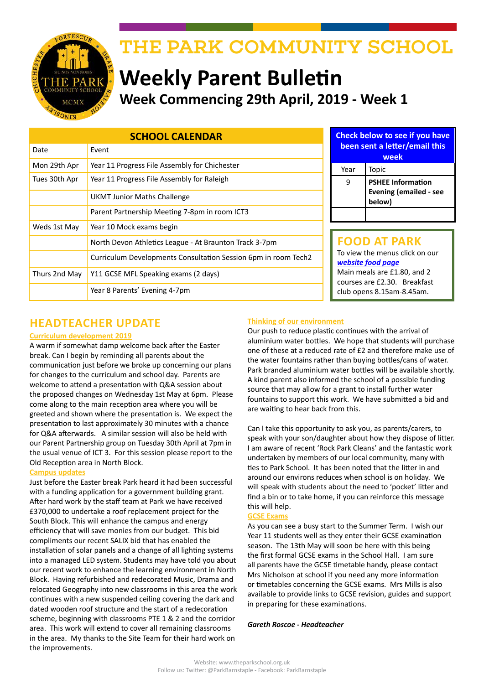

# THE PARK COMMUNITY SCHOOL

# **Weekly Parent Bulletin Week Commencing 29th April, 2019 - Week 1**

| <b>SCHOOL CALENDAR</b> |                                                                |  | <b>Check below to see if you have</b>                                                    |                                                                     |  |
|------------------------|----------------------------------------------------------------|--|------------------------------------------------------------------------------------------|---------------------------------------------------------------------|--|
| Date                   | Event                                                          |  | been sent a letter/email this<br>week                                                    |                                                                     |  |
| Mon 29th Apr           | Year 11 Progress File Assembly for Chichester                  |  | Year                                                                                     | Topic                                                               |  |
| Tues 30th Apr          | Year 11 Progress File Assembly for Raleigh                     |  | 9                                                                                        | <b>PSHEE Information</b><br><b>Evening (emailed - see</b><br>below) |  |
|                        | <b>UKMT Junior Maths Challenge</b>                             |  |                                                                                          |                                                                     |  |
|                        | Parent Partnership Meeting 7-8pm in room ICT3                  |  |                                                                                          |                                                                     |  |
| Weds 1st May           | Year 10 Mock exams begin                                       |  |                                                                                          |                                                                     |  |
|                        | North Devon Athletics League - At Braunton Track 3-7pm         |  | <b>FOOD AT PARK</b><br>To view the menus click on our<br>website food page               |                                                                     |  |
|                        | Curriculum Developments Consultation Session 6pm in room Tech2 |  |                                                                                          |                                                                     |  |
| Thurs 2nd May          | Y11 GCSE MFL Speaking exams (2 days)                           |  | Main meals are £1.80, and 2<br>courses are £2.30. Breakfast<br>club opens 8.15am-8.45am. |                                                                     |  |
|                        | Year 8 Parents' Evening 4-7pm                                  |  |                                                                                          |                                                                     |  |

## **HEADTEACHER UPDATE**

#### **Curriculum development 2019**

A warm if somewhat damp welcome back after the Easter break. Can I begin by reminding all parents about the communication just before we broke up concerning our plans for changes to the curriculum and school day. Parents are welcome to attend a presentation with Q&A session about the proposed changes on Wednesday 1st May at 6pm. Please come along to the main reception area where you will be greeted and shown where the presentation is. We expect the presentation to last approximately 30 minutes with a chance for Q&A afterwards. A similar session will also be held with our Parent Partnership group on Tuesday 30th April at 7pm in the usual venue of ICT 3. For this session please report to the Old Reception area in North Block.

#### **Campus updates**

Just before the Easter break Park heard it had been successful with a funding application for a government building grant. After hard work by the staff team at Park we have received £370,000 to undertake a roof replacement project for the South Block. This will enhance the campus and energy efficiency that will save monies from our budget. This bid compliments our recent SALIX bid that has enabled the installation of solar panels and a change of all lighting systems into a managed LED system. Students may have told you about our recent work to enhance the learning environment in North Block. Having refurbished and redecorated Music, Drama and relocated Geography into new classrooms in this area the work continues with a new suspended ceiling covering the dark and dated wooden roof structure and the start of a redecoration scheme, beginning with classrooms PTE 1 & 2 and the corridor area. This work will extend to cover all remaining classrooms in the area. My thanks to the Site Team for their hard work on the improvements.

#### **Thinking of our environment**

Our push to reduce plastic continues with the arrival of aluminium water bottles. We hope that students will purchase one of these at a reduced rate of £2 and therefore make use of the water fountains rather than buying bottles/cans of water. Park branded aluminium water bottles will be available shortly. A kind parent also informed the school of a possible funding source that may allow for a grant to install further water fountains to support this work. We have submitted a bid and are waiting to hear back from this.

**you have begina in this** 

Can I take this opportunity to ask you, as parents/carers, to speak with your son/daughter about how they dispose of litter. I am aware of recent 'Rock Park Cleans' and the fantastic work undertaken by members of our local community, many with ties to Park School. It has been noted that the litter in and around our environs reduces when school is on holiday. We will speak with students about the need to 'pocket' litter and find a bin or to take home, if you can reinforce this message this will help.

#### **GCSE Exams**

As you can see a busy start to the Summer Term. I wish our Year 11 students well as they enter their GCSE examination season. The 13th May will soon be here with this being the first formal GCSE exams in the School Hall. I am sure all parents have the GCSE timetable handy, please contact Mrs Nicholson at school if you need any more information or timetables concerning the GCSE exams. Mrs Mills is also available to provide links to GCSE revision, guides and support in preparing for these examinations.

#### *Gareth Roscoe - Headteacher*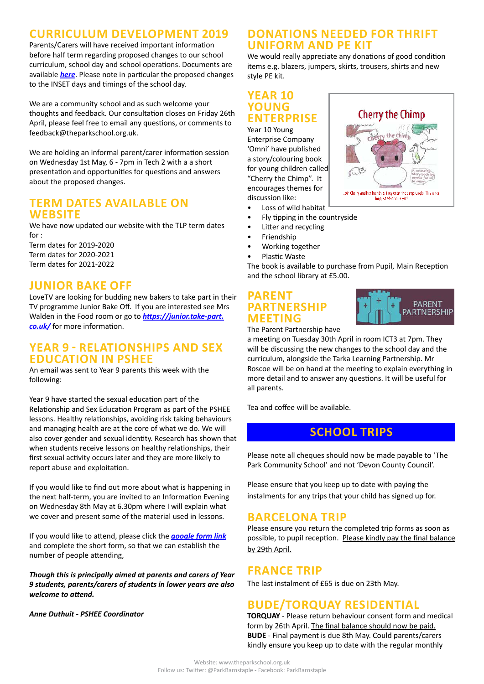## **CURRICULUM DEVELOPMENT 2019**

Parents/Carers will have received important information before half term regarding proposed changes to our school curriculum, school day and school operations. Documents are available *[here](http://www.theparkschool.org.uk/sites/default/files/Curriculum-Development-2019-Parent-Letter-Leaflet.pdf)*. Please note in particular the proposed changes to the INSET days and timings of the school day.

We are a community school and as such welcome your thoughts and feedback. Our consultation closes on Friday 26th April, please feel free to email any questions, or comments to feedback@theparkschool.org.uk.

We are holding an informal parent/carer information session on Wednesday 1st May, 6 - 7pm in Tech 2 with a a short presentation and opportunities for questions and answers about the proposed changes.

#### **TERM DATES AVAILABLE ON WEBSITE**

We have now updated our website with the TLP term dates for :

Term dates for 2019-2020 Term dates for 2020-2021 Term dates for 2021-2022

#### **JUNIOR BAKE OFF**

LoveTV are looking for budding new bakers to take part in their TV programme Junior Bake Off. If you are interested see Mrs Walden in the Food room or go to *[https://junior.take-part.](https://junior.take-part.co.uk/) [co.uk/](https://junior.take-part.co.uk/)* for more information.

#### **YEAR 9 - RELATIONSHIPS AND SEX EDUCATION IN PSHEE**

An email was sent to Year 9 parents this week with the following:

Year 9 have started the sexual education part of the Relationship and Sex Education Program as part of the PSHEE lessons. Healthy relationships, avoiding risk taking behaviours and managing health are at the core of what we do. We will also cover gender and sexual identity. Research has shown that when students receive lessons on healthy relationships, their first sexual activity occurs later and they are more likely to report abuse and exploitation.

If you would like to find out more about what is happening in the next half-term, you are invited to an Information Evening on Wednesday 8th May at 6.30pm where I will explain what we cover and present some of the material used in lessons.

If you would like to attend, please click the *[google form link](https://forms.gle/NcNFCr17C8DcDuth8)* and complete the short form, so that we can establish the number of people attending,

*Though this is principally aimed at parents and carers of Year 9 students, parents/carers of students in lower years are also welcome to attend.*

*Anne Duthuit - PSHEE Coordinator*

#### **DONATIONS NEEDED FOR THRIFT UNIFORM AND PE KIT**

We would really appreciate any donations of good condition items e.g. blazers, jumpers, skirts, trousers, shirts and new style PE kit.

### **YEAR 10 YOUNG ENTERPRISE**

Year 10 Young Enterprise Company 'Omni' have published a story/colouring book for young children called "Cherry the Chimp". It encourages themes for discussion like:



- Loss of wild habitat
- Fly tipping in the countryside
- Litter and recycling
- Friendship
- Working together
- Plastic Waste

The book is available to purchase from Pupil, Main Reception and the school library at £5.00.

### **PARENT PARTNERSHIP MEETING**



The Parent Partnership have

a meeting on Tuesday 30th April in room ICT3 at 7pm. They will be discussing the new changes to the school day and the curriculum, alongside the Tarka Learning Partnership. Mr Roscoe will be on hand at the meeting to explain everything in more detail and to answer any questions. It will be useful for all parents.

Tea and coffee will be available.

# **SCHOOL TRIPS**

Please note all cheques should now be made payable to 'The Park Community School' and not 'Devon County Council'.

Please ensure that you keep up to date with paying the instalments for any trips that your child has signed up for.

#### **BARCELONA TRIP**

Please ensure you return the completed trip forms as soon as possible, to pupil reception. Please kindly pay the final balance by 29th April.

### **FRANCE TRIP**

The last instalment of £65 is due on 23th May.

## **BUDE/TORQUAY RESIDENTIAL**

**TORQUAY** - Please return behaviour consent form and medical form by 26th April. The final balance should now be paid. **BUDE** - Final payment is due 8th May. Could parents/carers kindly ensure you keep up to date with the regular monthly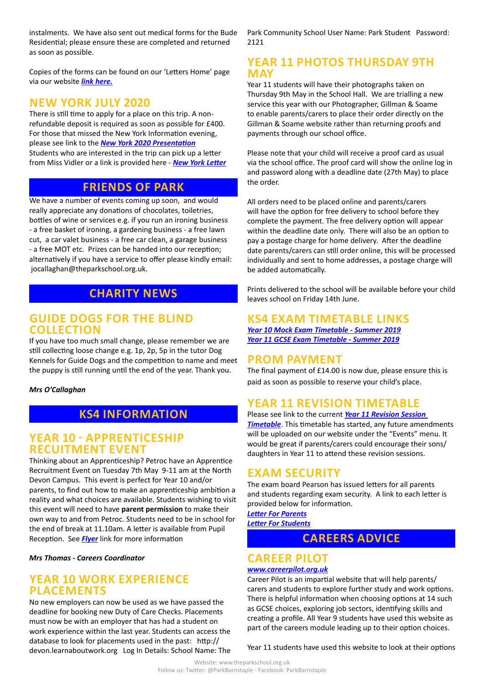instalments. We have also sent out medical forms for the Bude Residential; please ensure these are completed and returned as soon as possible.

Copies of the forms can be found on our 'Letters Home' page via our website *[link here.](http://www.theparkschool.org.uk/letters-home-0)*

#### **NEW YORK JULY 2020**

There is still time to apply for a place on this trip. A nonrefundable deposit is required as soon as possible for £400. For those that missed the New York Information evening, please see link to the *[New York 2020 Presentation](http://www.theparkschool.org.uk/sites/default/files/NewYorkMeetingPowerPoint-July2020.pdf)* Students who are interested in the trip can pick up a letter from Miss Vidler or a link is provided here - *[New York Letter](http://www.theparkschool.org.uk/sites/default/files/Payment%20Plan%20and%20Itinerary%20letter%202020.pdf)*

### **FRIENDS OF PARK**

We have a number of events coming up soon, and would really appreciate any donations of chocolates, toiletries, bottles of wine or services e.g. if you run an ironing business - a free basket of ironing, a gardening business - a free lawn cut, a car valet business - a free car clean, a garage business - a free MOT etc. Prizes can be handed into our reception; alternatively if you have a service to offer please kindly email: jocallaghan@theparkschool.org.uk.

## **CHARITY NEWS**

#### **GUIDE DOGS FOR THE BLIND COLLECTION**

If you have too much small change, please remember we are still collecting loose change e.g. 1p, 2p, 5p in the tutor Dog Kennels for Guide Dogs and the competition to name and meet the puppy is still running until the end of the year. Thank you.

*Mrs O'Callaghan*

## **KS4 INFORMATION**

#### **YEAR 10 - APPRENTICESHIP RECUITMENT EVENT**

Thinking about an Apprenticeship? Petroc have an Apprentice Recruitment Event on Tuesday 7th May 9-11 am at the North Devon Campus. This event is perfect for Year 10 and/or parents, to find out how to make an apprenticeship ambition a reality and what choices are available. Students wishing to visit this event will need to have **parent permission** to make their own way to and from Petroc. Students need to be in school for the end of break at 11.10am. A letter is available from Pupil Reception. See *[Flyer](http://www.theparkschool.org.uk/sites/default/files/Apprenticeship%20Recruitment%20Event_Invite_Yr10.pdf)* link for more information

*Mrs Thomas - Careers Coordinator*

#### **YEAR 10 WORK EXPERIENCE PLACEMENTS**

No new employers can now be used as we have passed the deadline for booking new Duty of Care Checks. Placements must now be with an employer that has had a student on work experience within the last year. Students can access the database to look for placements used in the past: http:// devon.learnaboutwork.org Log In Details: School Name: The

Park Community School User Name: Park Student Password: 2121

#### **YEAR 11 PHOTOS THURSDAY 9TH MAY**

Year 11 students will have their photographs taken on Thursday 9th May in the School Hall. We are trialling a new service this year with our Photographer, Gillman & Soame to enable parents/carers to place their order directly on the Gillman & Soame website rather than returning proofs and payments through our school office.

Please note that your child will receive a proof card as usual via the school office. The proof card will show the online log in and password along with a deadline date (27th May) to place the order.

All orders need to be placed online and parents/carers will have the option for free delivery to school before they complete the payment. The free delivery option will appear within the deadline date only. There will also be an option to pay a postage charge for home delivery. After the deadline date parents/carers can still order online, this will be processed individually and sent to home addresses, a postage charge will be added automatically.

Prints delivered to the school will be available before your child leaves school on Friday 14th June.

#### **KS4 EXAM TIMETABLE LINKS**

*[Year 10 Mock Exam Timetable - Summer 2019](http://www.theparkschool.org.uk/sites/default/files/Year10_Student_Timetable2019.pdf) [Year 11 GCSE Exam Timetable - Summer 2019](http://www.theparkschool.org.uk/sites/default/files/GCSE_Student_Timetable2019.pdf)*

#### **PROM PAYMENT**

The final payment of £14.00 is now due, please ensure this is paid as soon as possible to reserve your child's place.

### **YEAR 11 REVISION TIMETABLE**

Please see link to the current *[Year 11 Revision Session](https://docs.google.com/document/d/1dNMh7-L1kyihGF64pufxK6rpksF0LmhP7VMcilHf7oM/edit?usp=sharing)  [Timetable](https://docs.google.com/document/d/1dNMh7-L1kyihGF64pufxK6rpksF0LmhP7VMcilHf7oM/edit?usp=sharing)*. This timetable has started, any future amendments will be uploaded on our website under the "Events" menu. It would be great if parents/carers could encourage their sons/ daughters in Year 11 to attend these revision sessions.

#### **EXAM SECURITY**

The exam board Pearson has issued letters for all parents and students regarding exam security. A link to each letter is provided below for information.

*[Letter For Parents](http://www.theparkschool.org.uk/sites/default/files/letter-for-parents-question-paper-security.pdf) [Letter For Students](http://www.theparkschool.org.uk/sites/default/files/letter-for-students-question-paper-security.pdf)*

#### **CAREERS ADVICE**

#### **CAREER PILOT**

#### *[www.careerpilot.org.uk](http://www.careerpilot.org.uk)*

Career Pilot is an impartial website that will help parents/ carers and students to explore further study and work options. There is helpful information when choosing options at 14 such as GCSE choices, exploring job sectors, identifying skills and creating a profile. All Year 9 students have used this website as part of the careers module leading up to their option choices.

Year 11 students have used this website to look at their options